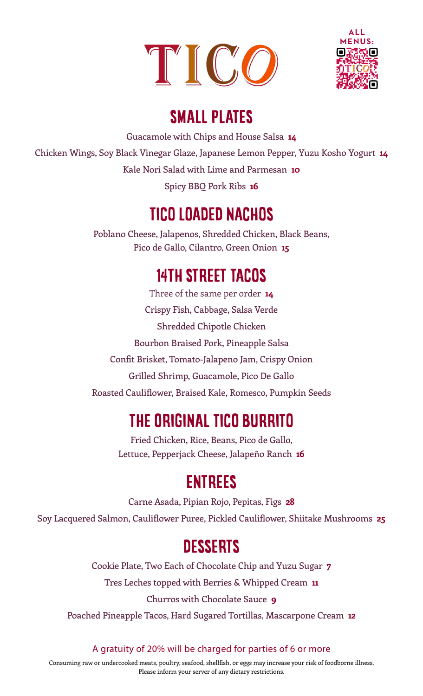



## SMALL PLATES

Guacamole with Chips and House Salsa **14** Chicken Wings, Soy Black Vinegar Glaze, Japanese Lemon Pepper, Yuzu Kosho Yogurt **14** Kale Nori Salad with Lime and Parmesan **10** Spicy BBQ Pork Ribs **16**

### TICO LOADED NACHOS

Poblano Cheese, Jalapenos, Shredded Chicken, Black Beans, Pico de Gallo, Cilantro, Green Onion **15**

## 14TH STREET TACOS

Three of the same per order **14** Crispy Fish, Cabbage, Salsa Verde Shredded Chipotle Chicken Bourbon Braised Pork, Pineapple Salsa Confit Brisket, Tomato-Jalapeno Jam, Crispy Onion Grilled Shrimp, Guacamole, Pico De Gallo Roasted Cauliflower, Braised Kale, Romesco, Pumpkin Seeds

# THE ORIGINAL TICO BURRITO

Fried Chicken, Rice, Beans, Pico de Gallo, Lettuce, Pepperjack Cheese, Jalapeño Ranch **16**

## ENTREES

Carne Asada, Pipian Rojo, Pepitas, Figs **28** Soy Lacquered Salmon, Cauliflower Puree, Pickled Cauliflower, Shiitake Mushrooms **25**

# **DESSERTS**

Cookie Plate, Two Each of Chocolate Chip and Yuzu Sugar **7**

Tres Leches topped with Berries & Whipped Cream **11**

Churros with Chocolate Sauce **9**

Poached Pineapple Tacos, Hard Sugared Tortillas, Mascarpone Cream **12**

A gratuity of 20% will be charged for parties of 6 or more

Consuming raw or undercooked meats, poultry, seafood, shellfish, or eggs may increase your risk of foodborne illness. Please inform your server of any dietary restrictions.